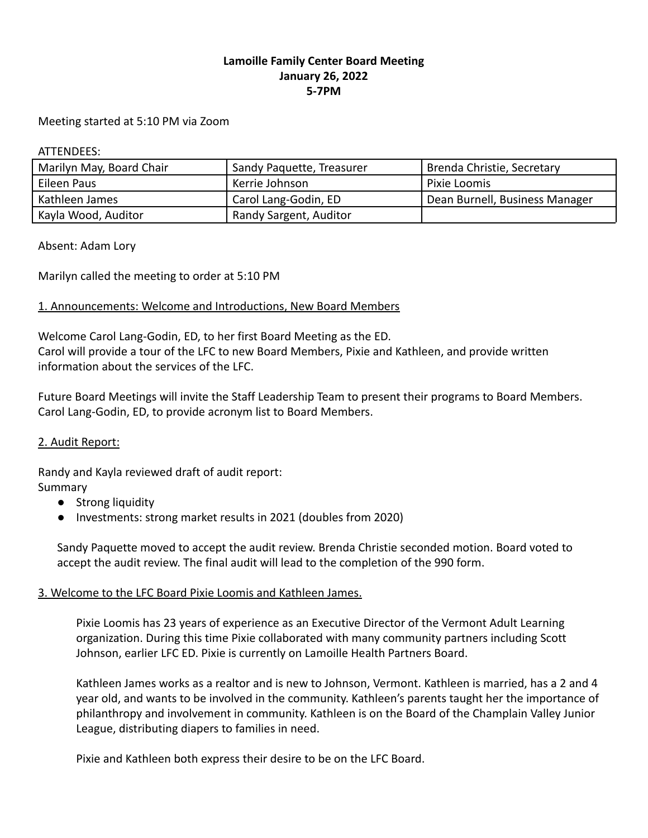# **Lamoille Family Center Board Meeting January 26, 2022 5-7PM**

#### Meeting started at 5:10 PM via Zoom

ATTENDEES:

| Marilyn May, Board Chair | Sandy Paquette, Treasurer | Brenda Christie, Secretary     |
|--------------------------|---------------------------|--------------------------------|
| Eileen Paus              | Kerrie Johnson            | Pixie Loomis                   |
| Kathleen James           | Carol Lang-Godin, ED      | Dean Burnell, Business Manager |
| Kayla Wood, Auditor      | Randy Sargent, Auditor    |                                |

Absent: Adam Lory

Marilyn called the meeting to order at 5:10 PM

### 1. Announcements: Welcome and Introductions, New Board Members

Welcome Carol Lang-Godin, ED, to her first Board Meeting as the ED. Carol will provide a tour of the LFC to new Board Members, Pixie and Kathleen, and provide written information about the services of the LFC.

Future Board Meetings will invite the Staff Leadership Team to present their programs to Board Members. Carol Lang-Godin, ED, to provide acronym list to Board Members.

### 2. Audit Report:

Randy and Kayla reviewed draft of audit report: Summary

- Strong liquidity
- Investments: strong market results in 2021 (doubles from 2020)

Sandy Paquette moved to accept the audit review. Brenda Christie seconded motion. Board voted to accept the audit review. The final audit will lead to the completion of the 990 form.

### 3. Welcome to the LFC Board Pixie Loomis and Kathleen James.

Pixie Loomis has 23 years of experience as an Executive Director of the Vermont Adult Learning organization. During this time Pixie collaborated with many community partners including Scott Johnson, earlier LFC ED. Pixie is currently on Lamoille Health Partners Board.

Kathleen James works as a realtor and is new to Johnson, Vermont. Kathleen is married, has a 2 and 4 year old, and wants to be involved in the community. Kathleen's parents taught her the importance of philanthropy and involvement in community. Kathleen is on the Board of the Champlain Valley Junior League, distributing diapers to families in need.

Pixie and Kathleen both express their desire to be on the LFC Board.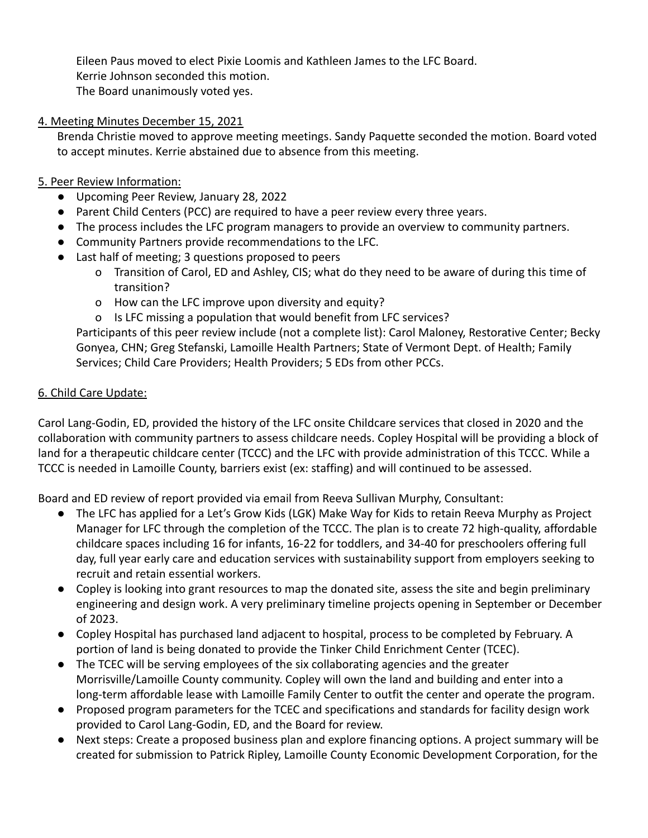Eileen Paus moved to elect Pixie Loomis and Kathleen James to the LFC Board. Kerrie Johnson seconded this motion. The Board unanimously voted yes.

### 4. Meeting Minutes December 15, 2021

Brenda Christie moved to approve meeting meetings. Sandy Paquette seconded the motion. Board voted to accept minutes. Kerrie abstained due to absence from this meeting.

## 5. Peer Review Information:

- Upcoming Peer Review, January 28, 2022
- Parent Child Centers (PCC) are required to have a peer review every three years.
- The process includes the LFC program managers to provide an overview to community partners.
- Community Partners provide recommendations to the LFC.
- Last half of meeting; 3 questions proposed to peers
	- o Transition of Carol, ED and Ashley, CIS; what do they need to be aware of during this time of transition?
	- o How can the LFC improve upon diversity and equity?
	- o Is LFC missing a population that would benefit from LFC services?

Participants of this peer review include (not a complete list): Carol Maloney, Restorative Center; Becky Gonyea, CHN; Greg Stefanski, Lamoille Health Partners; State of Vermont Dept. of Health; Family Services; Child Care Providers; Health Providers; 5 EDs from other PCCs.

# 6. Child Care Update:

Carol Lang-Godin, ED, provided the history of the LFC onsite Childcare services that closed in 2020 and the collaboration with community partners to assess childcare needs. Copley Hospital will be providing a block of land for a therapeutic childcare center (TCCC) and the LFC with provide administration of this TCCC. While a TCCC is needed in Lamoille County, barriers exist (ex: staffing) and will continued to be assessed.

Board and ED review of report provided via email from Reeva Sullivan Murphy, Consultant:

- The LFC has applied for a Let's Grow Kids (LGK) Make Way for Kids to retain Reeva Murphy as Project Manager for LFC through the completion of the TCCC. The plan is to create 72 high-quality, affordable childcare spaces including 16 for infants, 16-22 for toddlers, and 34-40 for preschoolers offering full day, full year early care and education services with sustainability support from employers seeking to recruit and retain essential workers.
- Copley is looking into grant resources to map the donated site, assess the site and begin preliminary engineering and design work. A very preliminary timeline projects opening in September or December of 2023.
- Copley Hospital has purchased land adjacent to hospital, process to be completed by February. A portion of land is being donated to provide the Tinker Child Enrichment Center (TCEC).
- The TCEC will be serving employees of the six collaborating agencies and the greater Morrisville/Lamoille County community. Copley will own the land and building and enter into a long-term affordable lease with Lamoille Family Center to outfit the center and operate the program.
- Proposed program parameters for the TCEC and specifications and standards for facility design work provided to Carol Lang-Godin, ED, and the Board for review.
- Next steps: Create a proposed business plan and explore financing options. A project summary will be created for submission to Patrick Ripley, Lamoille County Economic Development Corporation, for the